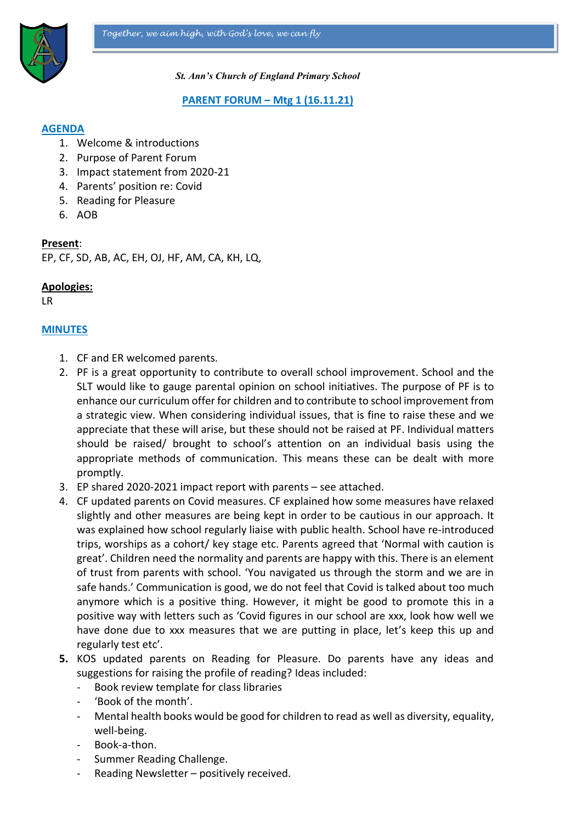

*St. Ann's Church of England Primary School*

#### **PARENT FORUM – Mtg 1 (16.11.21)**

### **AGENDA**

- 1. Welcome & introductions
- 2. Purpose of Parent Forum
- 3. Impact statement from 2020-21
- 4. Parents' position re: Covid
- 5. Reading for Pleasure
- 6. AOB

#### **Present**:

EP, CF, SD, AB, AC, EH, OJ, HF, AM, CA, KH, LQ,

#### **Apologies:**

LR

## **MINUTES**

- 1. CF and ER welcomed parents.
- 2. PF is a great opportunity to contribute to overall school improvement. School and the SLT would like to gauge parental opinion on school initiatives. The purpose of PF is to enhance our curriculum offer for children and to contribute to school improvement from a strategic view. When considering individual issues, that is fine to raise these and we appreciate that these will arise, but these should not be raised at PF. Individual matters should be raised/ brought to school's attention on an individual basis using the appropriate methods of communication. This means these can be dealt with more promptly.
- 3. EP shared 2020-2021 impact report with parents see attached.
- 4. CF updated parents on Covid measures. CF explained how some measures have relaxed slightly and other measures are being kept in order to be cautious in our approach. It was explained how school regularly liaise with public health. School have re-introduced trips, worships as a cohort/ key stage etc. Parents agreed that 'Normal with caution is great'. Children need the normality and parents are happy with this. There is an element of trust from parents with school. 'You navigated us through the storm and we are in safe hands.' Communication is good, we do not feel that Covid is talked about too much anymore which is a positive thing. However, it might be good to promote this in a positive way with letters such as 'Covid figures in our school are xxx, look how well we have done due to xxx measures that we are putting in place, let's keep this up and regularly test etc'.
- **5.** KOS updated parents on Reading for Pleasure. Do parents have any ideas and suggestions for raising the profile of reading? Ideas included:
	- Book review template for class libraries
	- 'Book of the month'.
	- Mental health books would be good for children to read as well as diversity, equality, well-being.
	- Book-a-thon.
	- Summer Reading Challenge.
	- Reading Newsletter positively received.